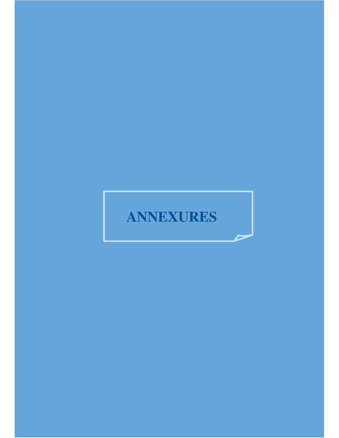# **ANNEXURES**

 $\blacktriangleright$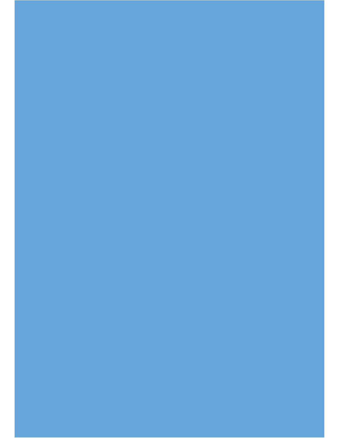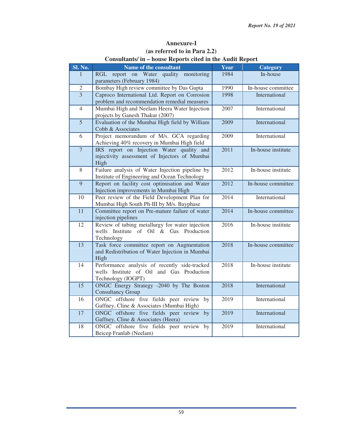|                | Consultants/ in – house Reports cited in the Audit Report                                                        |                   |                    |
|----------------|------------------------------------------------------------------------------------------------------------------|-------------------|--------------------|
| <b>Sl. No.</b> | Name of the consultant                                                                                           | Year              | <b>Category</b>    |
| 1              | RGL report on Water quality monitoring<br>parameters (February 1984)                                             | 1984              | In-house           |
| $\overline{2}$ | Bombay High review committee by Das Gupta                                                                        | 1990              | In-house committee |
| $\overline{3}$ | Caproco International Ltd. Report on Corrosion<br>problem and recommendation remedial measures                   | 1998              | International      |
| $\overline{4}$ | Mumbai High and Neelam Heera Water Injection<br>projects by Ganesh Thakur (2007)                                 | 2007              | International      |
| $\overline{5}$ | Evaluation of the Mumbai High field by William<br>Cobb & Associates                                              | 2009              | International      |
| 6              | Project memorandum of M/s. GCA regarding<br>Achieving 40% recovery in Mumbai High field                          | 2009              | International      |
| $\overline{7}$ | IRS report on Injection Water quality and<br>injectivity assessment of Injectors of Mumbai<br>High               | $\overline{2011}$ | In-house institute |
| 8              | Failure analysis of Water Injection pipeline by<br>Institute of Engineering and Ocean Technology                 | 2012              | In-house institute |
| 9              | Report on facility cost optimisation and Water<br>Injection improvements in Mumbai High                          | 2012              | In-house committee |
| 10             | Peer review of the Field Development Plan for<br>Mumbai High South Ph-III by M/s. Bayphase                       | 2014              | International      |
| 11             | Committee report on Pre-mature failure of water<br>injection pipelines                                           | 2014              | In-house committee |
| 12             | Review of tubing metallurgy for water injection<br>wells Institute of Oil & Gas Production<br>Technology         | 2016              | In-house institute |
| 13             | Task force committee report on Augmentation<br>and Redistribution of Water Injection in Mumbai<br>High           | 2018              | In-house committee |
| 14             | Performance analysis of recently side-tracked<br>wells Institute of Oil and Gas Production<br>Technology (IOGPT) | 2018              | In-house institute |
| 15             | ONGC Energy Strategy -2040 by The Boston<br><b>Consultancy Group</b>                                             | 2018              | International      |
| 16             | ONGC offshore five fields peer review by<br>Gaffney, Cline & Associates (Mumbai High)                            | 2019              | International      |
| 17             | ONGC offshore five fields peer review<br>by<br>Gaffney, Cline & Associates (Heera)                               | 2019              | International      |
| 18             | ONGC offshore five fields peer review by<br>Beicep Franlab (Neelam)                                              | 2019              | International      |

**Annexure-I (as referred to in Para 2.2) Consultants/ in – house Reports cited in the Audit Report**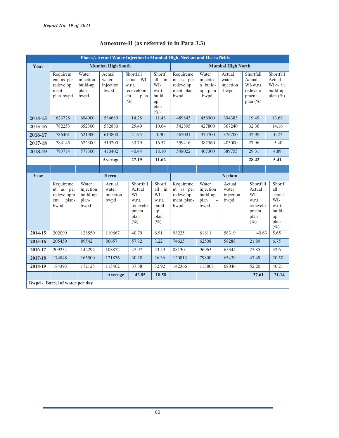|             | Plan v/s Actual Water Injection in Mumbai High, Neelam and Heera fields |                                                 |                                       |                                                                             |                                                                     |                                                           |                                                     |                                       |                                                                             |                                                                            |  |
|-------------|-------------------------------------------------------------------------|-------------------------------------------------|---------------------------------------|-----------------------------------------------------------------------------|---------------------------------------------------------------------|-----------------------------------------------------------|-----------------------------------------------------|---------------------------------------|-----------------------------------------------------------------------------|----------------------------------------------------------------------------|--|
| <b>Year</b> |                                                                         |                                                 | <b>Mumbai High South</b>              |                                                                             |                                                                     |                                                           |                                                     | Mumbai High North                     |                                                                             |                                                                            |  |
|             | Requirem<br>ent as per<br>redevelop<br>ment<br>plan-bwpd                | Water<br>injection<br>build-up<br>plan-<br>bwpd | Actual<br>water<br>injection<br>-bwpd | Shortfall<br>actual WI-<br>w.r.t.<br>redevelopm<br>ent<br>plan<br>$(\%)$    | Shortf<br>all in<br>WI-<br>w.r.t.<br>build-<br>up<br>plan<br>$(\%)$ | Requireme<br>nt as per<br>redevelop<br>ment plan-<br>bwpd | Water<br>injectio<br>n build-<br>up plan<br>$-bwpd$ | Actual<br>water<br>injection<br>-bwpd | Shortfall<br>Actual<br>$WI-w.r.t.$<br>redevelo<br>pment<br>plan $(\%)$      | Shortfall<br>Actual<br>WI-w.r.t.<br>build-up<br>plan $(\%)$                |  |
| 2014-15     | 623728                                                                  | 604000                                          | 534689                                | 14.28                                                                       | 11.48                                                               | 489843                                                    | 456900                                              | 394383                                | 19.49                                                                       | 13.68                                                                      |  |
| 2015-16     | 782253                                                                  | 652300                                          | 582880                                | 25.49                                                                       | 10.64                                                               | 542895                                                    | 427800                                              | 367240                                | 32.36                                                                       | 14.16                                                                      |  |
| 2016-17     | 786461                                                                  | 621900                                          | 613800                                | 21.95                                                                       | 1.30                                                                | 562031                                                    | 375700                                              | 376700                                | 32.98                                                                       | $-0.27$                                                                    |  |
| 2017-18     | 784145                                                                  | 622300                                          | 519200                                | 33.79                                                                       | 16.57                                                               | 559416                                                    | 382360                                              | 403000                                | 27.96                                                                       | $-5.40$                                                                    |  |
| 2018-19     | 793774                                                                  | 577300                                          | 470402                                | 40.44                                                                       | 18.10                                                               | 548022                                                    | 407300                                              | 389755                                | 29.31                                                                       | 4.89                                                                       |  |
|             |                                                                         |                                                 | Average                               | 27.19                                                                       | 11.62                                                               |                                                           |                                                     |                                       | 28.42                                                                       | 5.41                                                                       |  |
|             |                                                                         |                                                 |                                       |                                                                             |                                                                     |                                                           |                                                     |                                       |                                                                             |                                                                            |  |
| Year        |                                                                         |                                                 | Heera                                 |                                                                             |                                                                     | <b>Neelam</b>                                             |                                                     |                                       |                                                                             |                                                                            |  |
|             | Requireme<br>nt as per<br>redevelopm<br>ent<br>plan-<br>bwpd            | Water<br>injection<br>build-up<br>plan-<br>bwpd | Actual<br>water<br>injection-<br>bwpd | Shortfall<br>Actual<br>WI-<br>w.r.t.<br>redevelo<br>pment<br>plan<br>$(\%)$ | Shortf<br>all in<br>WI-<br>w.r.t.<br>build-<br>up<br>plan<br>$(\%)$ | Requireme<br>nt as per<br>redevelop<br>ment plan-<br>bwpd | Water<br>injection<br>build-up<br>plan<br>bwpd      | Actual<br>water<br>injection-<br>bwpd | Shortfall<br>Actual<br>WI-<br>w.r.t.<br>redevelo<br>pment<br>plan<br>$(\%)$ | Shortf<br>all<br>actual<br>WI-<br>w.r.t.<br>build-<br>up<br>plan<br>$(\%)$ |  |
| 2014-15     | 202099                                                                  | 128550                                          | 119667                                | 40.79                                                                       | 6.91                                                                | 98225                                                     | 61811                                               | 58319                                 | 40.63                                                                       | 5.65                                                                       |  |
| 2015-16     | 205459                                                                  | 89542                                           | 86657                                 | 57.82                                                                       | 3.22                                                                | 74625                                                     | 62508                                               | 58288                                 | 21.89                                                                       | 6.75                                                                       |  |
| 2016-17     | 209234                                                                  | 142292                                          | 108872                                | 47.97                                                                       | 23.49                                                               | 88130                                                     | 96963                                               | 65344                                 | 25.85                                                                       | 32.61                                                                      |  |
| 2017-18     | 174848                                                                  | 165500                                          | 121876                                | 30.30                                                                       | 26.36                                                               | 120813                                                    | 79800                                               | 63439                                 | 47.49                                                                       | 20.50                                                                      |  |
| 2018-19     | 184393                                                                  | 172125                                          | 115462                                | 37.38                                                                       | 32.92                                                               | 142366                                                    | 113808                                              | 68046                                 | 52.20                                                                       | 40.21                                                                      |  |
|             |                                                                         |                                                 | Average                               | 42.85                                                                       | 18.58                                                               |                                                           |                                                     |                                       | 37.61                                                                       | 21.14                                                                      |  |
|             | <b>Bwpd</b> - Barrel of water per day                                   |                                                 |                                       |                                                                             |                                                                     |                                                           |                                                     |                                       |                                                                             |                                                                            |  |

# **Annexure-II (as referred to in Para 3.3)**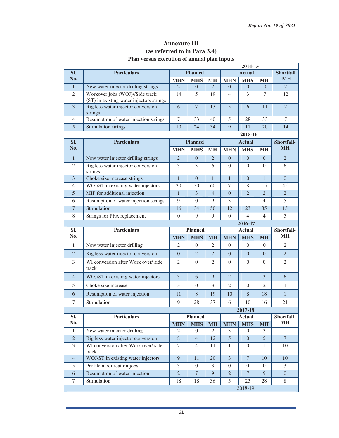| <b>Annexure III</b>                         |
|---------------------------------------------|
| (as referred to in Para 3.4)                |
| Plan versus execution of annual plan inputs |

|                |                                                                             |                |                |                |                | 2014-15        |                |                  |
|----------------|-----------------------------------------------------------------------------|----------------|----------------|----------------|----------------|----------------|----------------|------------------|
| SI.            | <b>Particulars</b>                                                          |                | <b>Planned</b> |                |                | <b>Actual</b>  |                | <b>Shortfall</b> |
| No.            |                                                                             | <b>MHN</b>     | <b>MHS</b>     | <b>MH</b>      | <b>MHN</b>     | <b>MHS</b>     | <b>MH</b>      | $-MH$            |
| $\mathbf{1}$   | New water injector drilling strings                                         | $\overline{2}$ | $\overline{0}$ | 2              | $\Omega$       | $\overline{0}$ | $\Omega$       | 2                |
| $\mathfrak{2}$ | Workover jobs (WOJ)//Side track<br>(ST) in existing water injectors strings | 14             | 5              | 19             | $\overline{4}$ | 3              | 7              | 12               |
| $\overline{3}$ | Rig less water injector conversion<br>strings                               | 6              | $\overline{7}$ | 13             | $\overline{5}$ | 6              | 11             | $\overline{2}$   |
| $\overline{4}$ | Resumption of water injection strings                                       | $\tau$         | 33             | 40             | 5              | 28             | 33             | $\overline{7}$   |
| $\overline{5}$ | <b>Stimulation strings</b>                                                  | 10             | 24             | 34             | 9              | 11             | 20             | 14               |
|                |                                                                             |                |                |                |                | 2015-16        |                |                  |
| SI.            | <b>Particulars</b>                                                          |                | <b>Planned</b> |                |                | <b>Actual</b>  |                | Shortfall-       |
| No.            |                                                                             | <b>MHN</b>     | <b>MHS</b>     | MН             | <b>MHN</b>     | <b>MHS</b>     | MН             | <b>MH</b>        |
| $\mathbf{1}$   | New water injector drilling strings                                         | $\overline{2}$ | $\Omega$       | $\overline{2}$ | $\Omega$       | $\Omega$       | $\Omega$       | $\overline{2}$   |
| $\mathfrak{2}$ | Rig less water injector conversion<br>strings                               | 3              | 3              | 6              | $\Omega$       | $\Omega$       | $\Omega$       | 6                |
| $\overline{3}$ | Choke size increase strings                                                 | $\mathbf{1}$   | $\overline{0}$ | $\mathbf{1}$   | $\mathbf{1}$   | $\Omega$       | $\mathbf{1}$   | $\Omega$         |
| $\overline{4}$ | WOJ/ST in existing water injectors                                          | 30             | 30             | 60             | 7              | 8              | 15             | 45               |
| $\overline{5}$ | MIP for additional injection                                                | $\mathbf{1}$   | 3              | $\overline{4}$ | $\overline{0}$ | $\overline{2}$ | $\overline{2}$ | $\overline{2}$   |
| 6              | Resumption of water injection strings                                       | 9              | $\overline{0}$ | 9              | 3              | $\mathbf{1}$   | $\overline{4}$ | 5                |
| $\overline{7}$ | Stimulation                                                                 | 16             | 34             | 50             | 12             | 23             | 35             | 15               |
| $\,$ 8 $\,$    | Strings for PFA replacement                                                 | $\overline{0}$ | 9              | 9              | $\theta$       | $\overline{4}$ | 4              | 5                |
|                |                                                                             |                |                |                |                | 2016-17        |                |                  |
|                |                                                                             |                |                |                |                |                |                |                  |
| SI.            | <b>Particulars</b>                                                          |                | <b>Planned</b> |                |                | <b>Actual</b>  |                | Shortfall-       |
| No.            |                                                                             | <b>MHN</b>     | <b>MHS</b>     | <b>MH</b>      | <b>MHN</b>     | <b>MHS</b>     | <b>MH</b>      | MН               |
| $\mathbf{1}$   | New water injector drilling                                                 | 2              | $\overline{0}$ | $\overline{2}$ | $\mathbf{0}$   | $\overline{0}$ | $\overline{0}$ | $\overline{2}$   |
| $\overline{2}$ | Rig less water injector conversion                                          | $\overline{0}$ | $\overline{2}$ | $\overline{2}$ | $\overline{0}$ | $\overline{0}$ | $\overline{0}$ | $\overline{2}$   |
| 3              | WI conversion after Work over/side<br>track                                 | 2              | $\theta$       | 2              | $\theta$       | $\theta$       | $\theta$       | $\overline{2}$   |
| $\overline{4}$ | WOJ/ST in existing water injectors                                          | 3              | 6              | 9              | $\overline{2}$ | $\mathbf{1}$   | $\overline{3}$ | 6                |
| 5              | Choke size increase                                                         | 3              | $\overline{0}$ | 3              | $\overline{2}$ | $\Omega$       | 2              | $\mathbf{1}$     |
| 6              | Resumption of water injection                                               | 11             | 8              | 19             | 10             | 8              | 18             | $\mathbf{1}$     |
| $\tau$         | Stimulation                                                                 | 9              | 28             | 37             | 6              | 10             | 16             | 21               |
|                |                                                                             |                |                |                |                | $2017 - 18$    |                |                  |
| SI.            | <b>Particulars</b>                                                          |                | <b>Planned</b> |                |                | Actual         |                | Shortfall-       |
| No.            |                                                                             | <b>MHN</b>     | <b>MHS</b>     | <b>MH</b>      | <b>MHN</b>     | <b>MHS</b>     | <b>MH</b>      | MH               |
| $\mathbf{1}$   | New water injector drilling                                                 | 2              | $\theta$       | 2              | 3              | $\theta$       | 3              | $-1$             |
| $\overline{2}$ | Rig less water injector conversion                                          | $\,8\,$        | $\overline{4}$ | 12             | $\overline{5}$ | $\overline{0}$ | $\mathfrak{S}$ | $\overline{7}$   |
| $\mathfrak{Z}$ | WI conversion after Work over/side<br>track                                 | 7              | 4              | 11             | 1              | $\theta$       | 1              | 10               |
| $\overline{4}$ | WOJ/ST in existing water injectors                                          | 9              | 11             | 20             | $\overline{3}$ | $\overline{7}$ | 10             | 10               |
| 5              | Profile modification jobs                                                   | 3              | $\overline{0}$ | 3              | $\overline{0}$ | $\overline{0}$ | $\overline{0}$ | 3                |
| 6              | Resumption of water injection                                               | $\overline{2}$ | $\overline{7}$ | $\overline{9}$ | $\overline{2}$ | $\overline{7}$ | $\overline{9}$ | $\overline{0}$   |
| $\tau$         | Stimulation                                                                 | 18             | 18             | 36             | 5              | 23             | 28             | 8                |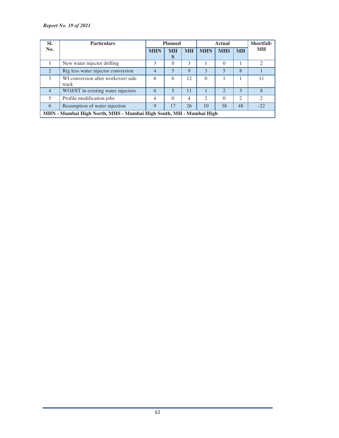#### *Report No. 19 of 2021*

| SI.                         | <b>Particulars</b>                                                 |            | <b>Planned</b> |             |               | Actual                   |                               | Shortfall-                  |  |
|-----------------------------|--------------------------------------------------------------------|------------|----------------|-------------|---------------|--------------------------|-------------------------------|-----------------------------|--|
| No.                         |                                                                    | <b>MHN</b> | <b>MH</b><br>S | <b>MH</b>   | <b>MHN</b>    | <b>MHS</b>               | <b>MH</b>                     | MН                          |  |
|                             | New water injector drilling                                        | 3          | $\theta$       | 3           |               | $\left($                 |                               | $\mathcal{D}_{\mathcal{A}}$ |  |
| $\mathcal{D}_{\mathcal{L}}$ | Rig less water injector conversion                                 | 4          |                | $\mathbf Q$ | 3             | $\overline{\mathcal{L}}$ | 8                             |                             |  |
| 3                           | WI conversion after workover/ side<br>track                        | 6          | 6              | 12          | $\Omega$      |                          |                               | 11                          |  |
| $\overline{4}$              | WOJ/ST in existing water injectors                                 | 6          | 5              | 11          |               | $\mathcal{L}$            | 3                             | 8                           |  |
| 5                           | Profile modification jobs                                          | 4          | $\Omega$       | 4           | $\mathcal{D}$ | $\Omega$                 | $\mathfrak{D}_{\mathfrak{p}}$ | $\mathcal{D}$               |  |
| 6                           | Resumption of water injection                                      | 9          | 17             | 26          | 10            | 38                       | 48                            | $-22$                       |  |
|                             | MHN - Mumbai High North, MHS - Mumbai High South, MH - Mumbai High |            |                |             |               |                          |                               |                             |  |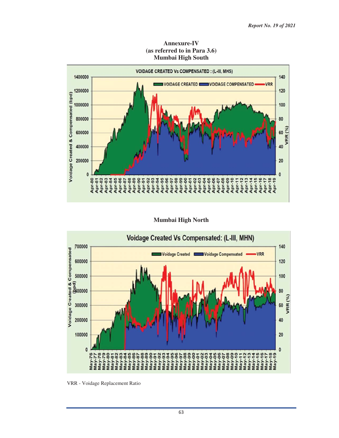**Annexure-IV (as referred to in Para 3.6) Mumbai High South**



#### **Mumbai High North**



VRR - Voidage Replacement Ratio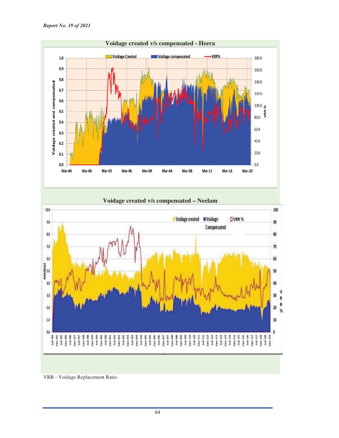



VRR - Voidage Replacement Ratio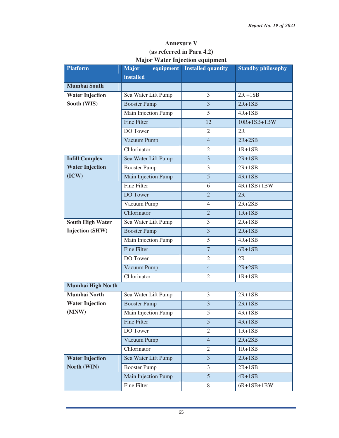| <b>Annexure V</b>                      |
|----------------------------------------|
| (as referred in Para 4.2)              |
| <b>Major Water Injection equipment</b> |

| <b>Platform</b>          | equipment<br><b>Major</b> | <b>Installed quantity</b> | <b>Standby philosophy</b> |  |
|--------------------------|---------------------------|---------------------------|---------------------------|--|
|                          | <b>installed</b>          |                           |                           |  |
| Mumbai South             |                           |                           |                           |  |
| <b>Water Injection</b>   | Sea Water Lift Pump       | 3                         | $2R + 1SB$                |  |
| South (WIS)              | <b>Booster Pump</b>       | $\overline{3}$            | $2R+1SB$                  |  |
|                          | Main Injection Pump       | $\overline{5}$            | $4R+1SB$                  |  |
|                          | <b>Fine Filter</b>        | 12                        | $10R+1SB+1BW$             |  |
|                          | DO Tower                  | $\overline{2}$            | 2R                        |  |
|                          | Vacuum Pump               | $\overline{4}$            | $2R+2SB$                  |  |
|                          | Chlorinator               | $\overline{2}$            | $1R+1SB$                  |  |
| <b>Infill Complex</b>    | Sea Water Lift Pump       | $\overline{3}$            | $2R+1SB$                  |  |
| <b>Water Injection</b>   | <b>Booster Pump</b>       | 3                         | $2R+1SB$                  |  |
| (ICW)                    | Main Injection Pump       | 5                         | $4R+1SB$                  |  |
|                          | Fine Filter               | 6                         | $4R+1SB+1BW$              |  |
|                          | <b>DO</b> Tower           | $\overline{2}$            | 2R                        |  |
|                          | Vacuum Pump               | $\overline{4}$            | $2R+2SB$                  |  |
|                          | Chlorinator               | $\overline{2}$            | $1R+1SB$                  |  |
| <b>South High Water</b>  | Sea Water Lift Pump       | 3                         | $2R+1SB$                  |  |
| <b>Injection (SHW)</b>   | <b>Booster Pump</b>       | $\overline{3}$            | $2R+1SB$                  |  |
|                          | Main Injection Pump       | 5                         | $4R+1SB$                  |  |
|                          | <b>Fine Filter</b>        | $\overline{7}$            | $6R+1SB$                  |  |
|                          | DO Tower                  | $\mathfrak{2}$            | 2R                        |  |
|                          | Vacuum Pump               | $\overline{4}$            | $2R+2SB$                  |  |
|                          | Chlorinator               | $\mathfrak{2}$            | $1R+1SB$                  |  |
| <b>Mumbai High North</b> |                           |                           |                           |  |
| Mumbai North             | Sea Water Lift Pump       | 3                         | $2R+1SB$                  |  |
| <b>Water Injection</b>   | <b>Booster Pump</b>       | $\overline{3}$            | $2R+1SB$                  |  |
| (MNW)                    | Main Injection Pump       | 5                         | $4R+1SB$                  |  |
|                          | Fine Filter               | $\overline{5}$            | $4R+1SB$                  |  |
|                          | DO Tower                  | $\overline{2}$            | $1R+1SB$                  |  |
|                          | Vacuum Pump               | $\overline{4}$            | $2R+2SB$                  |  |
|                          | Chlorinator               | $\overline{2}$            | $1R+1SB$                  |  |
| <b>Water Injection</b>   | Sea Water Lift Pump       | $\overline{3}$            | $2R+1SB$                  |  |
| North (WIN)              | <b>Booster Pump</b>       | $\overline{3}$            | $2R+1SB$                  |  |
|                          | Main Injection Pump       | $\overline{5}$            | $4R+1SB$                  |  |
|                          | Fine Filter               | 8                         | $6R+1SB+1BW$              |  |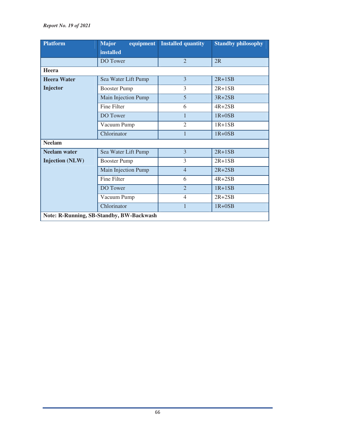| <b>Platform</b>        | <b>Major</b><br>equipment                | <b>Installed quantity</b> | <b>Standby philosophy</b> |
|------------------------|------------------------------------------|---------------------------|---------------------------|
|                        | installed                                |                           |                           |
|                        | DO Tower                                 | $\overline{2}$            | 2R                        |
| <b>Heera</b>           |                                          |                           |                           |
| <b>Heera Water</b>     | Sea Water Lift Pump                      | $\overline{3}$            | $2R+1SB$                  |
| Injector               | <b>Booster Pump</b>                      | 3                         | $2R+1SB$                  |
|                        | Main Injection Pump                      | 5                         | $3R+2SB$                  |
|                        | Fine Filter                              | 6                         | $4R+2SB$                  |
|                        | DO Tower                                 | 1                         | $1R+0SB$                  |
|                        | Vacuum Pump                              | $\overline{2}$            | $1R+1SB$                  |
|                        | Chlorinator                              |                           | $1R+0SB$                  |
| <b>Neelam</b>          |                                          |                           |                           |
| <b>Neelam water</b>    | Sea Water Lift Pump                      | 3                         | $2R+1SB$                  |
| <b>Injection (NLW)</b> | <b>Booster Pump</b>                      | 3                         | $2R+1SB$                  |
|                        | Main Injection Pump                      | $\overline{4}$            | $2R+2SB$                  |
|                        | Fine Filter                              | 6                         | $4R+2SB$                  |
|                        | DO Tower                                 | $\overline{2}$            | $1R+1SB$                  |
|                        | Vacuum Pump                              | 4                         | $2R+2SB$                  |
|                        | Chlorinator                              |                           | $1R+0SB$                  |
|                        | Note: R-Running, SB-Standby, BW-Backwash |                           |                           |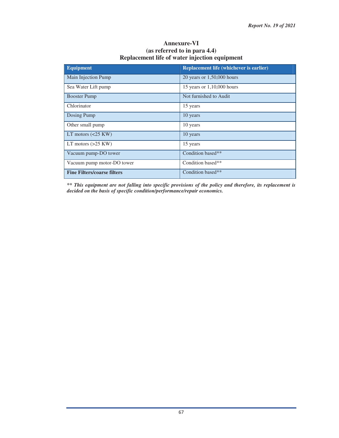| <b>Annexure-VI</b>                            |
|-----------------------------------------------|
| (as referred to in para 4.4)                  |
| Replacement life of water injection equipment |

| <b>Equipment</b>                   | <b>Replacement life (whichever is earlier)</b> |
|------------------------------------|------------------------------------------------|
| Main Injection Pump                | 20 years or $1,50,000$ hours                   |
| Sea Water Lift pump                | 15 years or 1,10,000 hours                     |
| <b>Booster Pump</b>                | Not furnished to Audit                         |
| Chlorinator                        | 15 years                                       |
| Dosing Pump                        | 10 years                                       |
| Other small pump                   | 10 years                                       |
| LT motors $(<25$ KW)               | 10 years                                       |
| LT motors $(>25$ KW)               | 15 years                                       |
| Vacuum pump-DO tower               | Condition based**                              |
| Vacuum pump motor-DO tower         | Condition based**                              |
| <b>Fine Filters/coarse filters</b> | Condition based**                              |

*\*\* This equipment are not falling into specific provisions of the policy and therefore, its replacement is decided on the basis of specific condition/performance/repair economics.*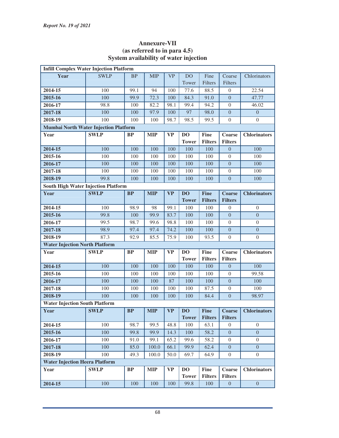| <b>Infill Complex Water Injection Platform</b> |                  |           |            |           |                                |                        |                          |                     |
|------------------------------------------------|------------------|-----------|------------|-----------|--------------------------------|------------------------|--------------------------|---------------------|
| Year                                           | <b>SWLP</b>      | <b>BP</b> | <b>MIP</b> | <b>VP</b> | D <sub>O</sub>                 | Fine                   | Coarse                   | Chlorinators        |
|                                                |                  |           |            |           | Tower                          | Filters                | Filters                  |                     |
| 2014-15                                        | 100              | 99.1      | 94         | 100       | 77.6                           | 88.5                   | $\boldsymbol{0}$         | 22.54               |
| 2015-16                                        | 100              | 99.9      | 72.3       | 100       | 84.3                           | 91.0                   | $\overline{0}$           | 47.77               |
| 2016-17                                        | 98.8             | 100       | 82.2       | 98.1      | 99.4                           | 94.2                   | $\boldsymbol{0}$         | 46.02               |
| 2017-18                                        | 100              | 100       | 97.9       | 100       | 97                             | 98.0                   | $\boldsymbol{0}$         | $\boldsymbol{0}$    |
| 2018-19                                        | 100              | 100       | 100        | 98.7      | 98.5                           | 99.5                   | $\boldsymbol{0}$         | $\overline{0}$      |
| <b>Mumbai North Water Injection Platform</b>   |                  |           |            |           |                                |                        |                          |                     |
| Year                                           | <b>SWLP</b>      | BP        | <b>MIP</b> | <b>VP</b> | D <sub>O</sub>                 | <b>Fine</b>            | Coarse                   | <b>Chlorinators</b> |
|                                                |                  |           |            |           | <b>Tower</b>                   | <b>Filters</b>         | <b>Filters</b>           |                     |
| 2014-15                                        | 100              | 100       | 100        | 100       | 100                            | 100                    | $\overline{0}$           | 100                 |
| 2015-16                                        | 100              | 100       | 100        | 100       | 100                            | 100                    | $\overline{0}$           | 100                 |
| 2016-17                                        | 100              | 100       | 100        | 100       | 100                            | 100                    | $\overline{0}$           | 100                 |
| 2017-18                                        | 100              | 100       | 100        | 100       | 100                            | 100                    | $\boldsymbol{0}$         | 100                 |
| 2018-19                                        | 99.8             | 100       | 100        | 100       | $\overline{100}$               | 100                    | $\boldsymbol{0}$         | 100                 |
| <b>South High Water Injection Platform</b>     |                  |           |            |           |                                |                        |                          |                     |
| Year                                           | <b>SWLP</b>      | BP        | <b>MIP</b> | <b>VP</b> | <b>DO</b>                      | <b>Fine</b>            | <b>Coarse</b>            | <b>Chlorinators</b> |
|                                                |                  |           |            |           | <b>Tower</b>                   | <b>Filters</b>         | <b>Filters</b>           |                     |
| 2014-15                                        | 100              | 98.9      | 98         | 99.1      | 100                            | 100                    | $\boldsymbol{0}$         | $\overline{0}$      |
| 2015-16                                        | 99.8             | 100       | 99.9       | 83.7      | $\overline{100}$               | $\overline{100}$       | $\boldsymbol{0}$         | $\overline{0}$      |
| 2016-17                                        | 99.5             | 98.7      | 99.6       | 98.8      | 100                            | 100                    | $\overline{0}$           | $\theta$            |
| 2017-18                                        | 98.9             | 97.4      | 97.4       | 74.2      | 100                            | 100                    | $\boldsymbol{0}$         | $\overline{0}$      |
| 2018-19                                        | 87.3             | 92.9      | 85.5       | 75.9      | 100                            | 93.5                   | $\boldsymbol{0}$         | $\boldsymbol{0}$    |
| <b>Water Injection North Platform</b>          |                  |           |            |           |                                |                        |                          |                     |
| Year                                           | <b>SWLP</b>      | BP        | <b>MIP</b> | <b>VP</b> | <b>DO</b>                      | <b>Fine</b>            | Coarse                   | <b>Chlorinators</b> |
|                                                |                  |           |            |           | <b>Tower</b>                   | <b>Filters</b>         | <b>Filters</b>           |                     |
| 2014-15                                        | $\overline{100}$ | 100       | 100        | 100       | 100                            | 100                    | $\boldsymbol{0}$         | $\overline{100}$    |
| 2015-16                                        | 100              | 100       | 100        | 100       | 100                            | 100                    | $\boldsymbol{0}$         | 99.58               |
| 2016-17                                        | 100              | 100       | 100        | 87        | 100                            | 100                    | $\boldsymbol{0}$         | 100                 |
| 2017-18                                        | 100              | 100       | 100        | 100       | 100                            | 87.5                   | $\boldsymbol{0}$         | 100                 |
| 2018-19                                        | 100              | 100       | 100        | 100       | 100                            | 84.4                   | $\overline{0}$           | 98.97               |
| <b>Water Injection South Platform</b>          |                  |           |            |           |                                |                        |                          |                     |
| Year                                           | <b>SWLP</b>      | BP        | <b>MIP</b> | <b>VP</b> | <b>DO</b>                      | <b>Fine</b>            | <b>Coarse</b>            | <b>Chlorinators</b> |
|                                                |                  |           |            |           | <b>Tower</b>                   | <b>Filters</b>         | <b>Filters</b>           |                     |
| 2014-15                                        | 100              | 98.7      | 99.5       | 48.8      | 100                            | 63.1                   | $\overline{0}$           | $\mathbf{0}$        |
| 2015-16                                        | 100              | 99.8      | 99.9       | 14.3      | 100                            | 58.2                   | $\overline{0}$           | $\Omega$            |
| 2016-17                                        | 100              | 91.0      | 99.1       | 65.2      | 99.6                           | 58.2                   | $\overline{0}$           | $\overline{0}$      |
| 2017-18                                        | 100              | 85.0      | 100.0      | 66.1      | 99.9                           | 62.4                   | $\overline{0}$           | $\overline{0}$      |
| 2018-19                                        | 100              | 49.3      | 100.0      | 50.0      | 69.7                           | 64.9                   | $\boldsymbol{0}$         | $\overline{0}$      |
| <b>Water Injection Heera Platform</b>          |                  |           |            |           |                                |                        |                          |                     |
| Year                                           | <b>SWLP</b>      | BP        | <b>MIP</b> | <b>VP</b> | D <sub>O</sub><br><b>Tower</b> | Fine<br><b>Filters</b> | Coarse<br><b>Filters</b> | <b>Chlorinators</b> |
| 2014-15                                        | 100              | 100       | 100        | 100       | 99.8                           | 100                    | $\boldsymbol{0}$         | $\overline{0}$      |
|                                                |                  |           |            |           |                                |                        |                          |                     |

## **Annexure-VII (as referred to in para 4.5) System availability of water injection**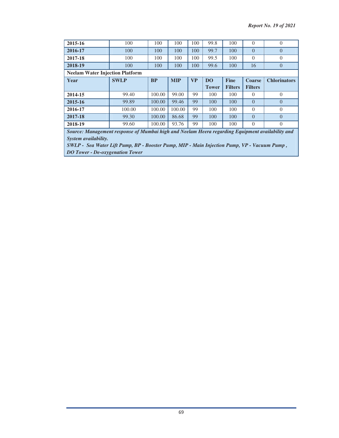| 2015-16                                | 100         | 100       | 100        | 100       | 99.8         | 100            | $\theta$       | $\Omega$            |
|----------------------------------------|-------------|-----------|------------|-----------|--------------|----------------|----------------|---------------------|
| 2016-17                                | 100         | 100       | 100        | 100       | 99.7         | 100            | $\Omega$       | $\Omega$            |
| 2017-18                                | 100         | 100       | 100        | 100       | 99.5         | 100            | $\Omega$       | $\Omega$            |
| 2018-19                                | 100         | 100       | 100        | 100       | 99.6         | 100            | 16             | $\Omega$            |
| <b>Neelam Water Injection Platform</b> |             |           |            |           |              |                |                |                     |
| Year                                   | <b>SWLP</b> | <b>BP</b> | <b>MIP</b> | <b>VP</b> | <b>DO</b>    | <b>Fine</b>    | <b>Coarse</b>  | <b>Chlorinators</b> |
|                                        |             |           |            |           | <b>Tower</b> | <b>Filters</b> | <b>Filters</b> |                     |
|                                        |             |           |            |           |              |                |                |                     |
| 2014-15                                | 99.40       | 100.00    | 99.00      | 99        | 100          | 100            | $\Omega$       | $\theta$            |
| 2015-16                                | 99.89       | 100.00    | 99.46      | 99        | 100          | 100            | $\Omega$       | $\Omega$            |
| 2016-17                                | 100.00      | 100.00    | 100.00     | 99        | 100          | 100            | $\Omega$       | $\Omega$            |
| 2017-18                                | 99.30       | 100.00    | 86.68      | 99        | 100          | 100            | $\Omega$       | $\Omega$            |
| 2018-19                                | 99.60       | 100.00    | 93.76      | 99        | 100          | 100            | $\theta$       | $\Omega$            |

*Source: Management response of Mumbai high and Neelam Heera regarding Equipment availability and System availability.* 

*SWLP - Sea Water Lift Pump, BP - Booster Pump, MIP - Main Injection Pump, VP - Vacuum Pump , DO Tower - De-oxygenation Tower*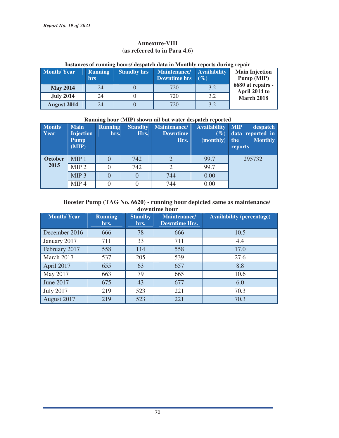#### **Annexure-VIII (as referred to in Para 4.6)**

| <b>Month/Year</b>  | <b>Running</b><br>hrs | <b>Standby hrs</b> | Maintenance/<br><b>Downtime hrs</b> | <b>Availability</b><br>$(\%)$ | <b>Main Injection</b><br>Pump (MIP) |
|--------------------|-----------------------|--------------------|-------------------------------------|-------------------------------|-------------------------------------|
| <b>May 2014</b>    | 24                    |                    | 720                                 | 3.2                           | 6680 at repairs -<br>April 2014 to  |
| <b>July 2014</b>   | 24                    |                    | 720                                 | 3.2                           | <b>March 2018</b>                   |
| <b>August 2014</b> | 24                    |                    | 720                                 | 3.2                           |                                     |

## **Instances of running hours/ despatch data in Monthly reports during repair**

## **Running hour (MIP) shown nil but water despatch reported**

| Month/<br>Year | <b>Main</b><br><b>Injection</b><br><b>Pump</b><br>(MIP) | <b>Running</b><br>hrs. | <b>Standby</b><br>Hrs. | Maintenance/<br><b>Downtime</b><br>Hrs. | <b>Availability</b> MIP<br>$(\mathscr{Y}_{\mathcal{O}})$<br>(monthly) | despatch<br>data reported in<br><b>Monthly</b><br>the<br>reports |
|----------------|---------------------------------------------------------|------------------------|------------------------|-----------------------------------------|-----------------------------------------------------------------------|------------------------------------------------------------------|
| <b>October</b> | $MIP$ 1                                                 |                        | 742                    | $\mathcal{D}$                           | 99.7                                                                  | 295732                                                           |
| 2015           | MIP <sub>2</sub>                                        |                        | 742                    |                                         | 99.7                                                                  |                                                                  |
|                | MIP <sub>3</sub>                                        |                        | $\theta$               | 744                                     | 0.00                                                                  |                                                                  |
|                | MIP <sub>4</sub>                                        |                        | $\left( \right)$       | 744                                     | 0.00                                                                  |                                                                  |

## **Booster Pump (TAG No. 6620) - running hour depicted same as maintenance/ downtime hour**

| <b>Month/Year</b> | <b>Running</b><br>hrs. | <b>Standby</b><br>hrs. | Maintenance/<br><b>Downtime Hrs.</b> | <b>Availability (percentage)</b> |
|-------------------|------------------------|------------------------|--------------------------------------|----------------------------------|
| December 2016     | 666                    | 78                     | 666                                  | 10.5                             |
| January 2017      | 711                    | 33                     | 711                                  | 4.4                              |
| February 2017     | 558                    | 114                    | 558                                  | 17.0                             |
| March 2017        | 537                    | 205                    | 539                                  | 27.6                             |
| April 2017        | 655                    | 63                     | 657                                  | 8.8                              |
| May 2017          | 663                    | 79                     | 665                                  | 10.6                             |
| June 2017         | 675                    | 43                     | 677                                  | 6.0                              |
| <b>July 2017</b>  | 219                    | 523                    | 221                                  | 70.3                             |
| August 2017       | 219                    | 523                    | 221                                  | 70.3                             |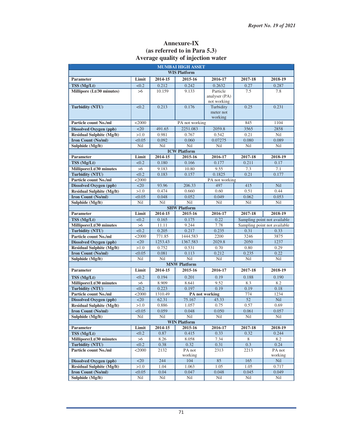### **Annexure-IX (as referred to in Para 5.3) Average quality of injection water**

| <b>MUMBAI HIGH ASSET</b>                                          |                  |                          |                                |                         |                    |                              |  |  |  |  |  |
|-------------------------------------------------------------------|------------------|--------------------------|--------------------------------|-------------------------|--------------------|------------------------------|--|--|--|--|--|
|                                                                   |                  |                          | <b>WIS Platform</b>            |                         |                    |                              |  |  |  |  |  |
| Parameter                                                         | Limit            | 2014-15                  | 2015-16                        | 2016-17                 | 2017-18<br>2018-19 |                              |  |  |  |  |  |
| TSS (Mg/Lt)                                                       | < 0.2            | 0.212                    | 0.242                          | 0.2632                  | 0.27               | 0.287                        |  |  |  |  |  |
| Millipore (Lt/30 minutes)                                         | >6               | 10.159                   | 9.133                          | Particle                | 7.5                | 7.8                          |  |  |  |  |  |
|                                                                   |                  |                          |                                | analyser (PA)           |                    |                              |  |  |  |  |  |
|                                                                   |                  |                          |                                | not working             |                    |                              |  |  |  |  |  |
| <b>Turbidity (NTU)</b>                                            | < 0.2            | 0.213                    | 0.176                          | Turbidity               | 0.25               | 0.231                        |  |  |  |  |  |
|                                                                   |                  |                          |                                | meter not               |                    |                              |  |  |  |  |  |
| Particle count No./ml                                             | $<$ 2000         |                          | PA not working                 | working                 | 845                | 1104                         |  |  |  |  |  |
| <b>Dissolved Oxygen (ppb)</b>                                     | <20              | 491.65                   | 2251.083                       | 2059.8                  | 3565               | 2858                         |  |  |  |  |  |
| <b>Residual Sulphite (Mg/lt)</b>                                  | >1.0             | 0.981                    | 0.767                          | 0.542                   | 0.21               | Nil                          |  |  |  |  |  |
| <b>Iron Count (No/ml)</b>                                         | < 0.05           | 0.092                    | 0.060                          | 0.07275                 | 0.080              | 0.089                        |  |  |  |  |  |
| Sulphide (Mg/lt)                                                  | Nil              | Nil                      | Nil                            | Nil                     | Nil                | Nil                          |  |  |  |  |  |
|                                                                   |                  |                          | <b>ICW Platform</b>            |                         |                    |                              |  |  |  |  |  |
| Parameter                                                         | Limit            | $2014 - 15$              | 2015-16                        | 2016-17                 | 2017-18            | 2018-19                      |  |  |  |  |  |
| TSS (Mg/Lt)                                                       | < 0.2            | 0.180                    | 0.166                          | 0.177                   | 0.211              | 0.17                         |  |  |  |  |  |
| Millipore(Lt/30 minutes                                           | >6               | 9.183                    | 10.80                          | 9.55                    | 7.3                | 7.1                          |  |  |  |  |  |
| <b>Turbidity (NTU)</b>                                            | < 0.2            | 0.183                    | 0.157                          | 0.1825                  | 0.21               | 0.177                        |  |  |  |  |  |
| Particle count No./ml                                             | $<$ 2000         |                          |                                | PA not working          |                    |                              |  |  |  |  |  |
| <b>Dissolved Oxygen (ppb)</b>                                     | $<$ 20           | 93.96                    | 206.33                         | 497                     | 415                | Nil                          |  |  |  |  |  |
| <b>Residual Sulphite (Mg/lt)</b>                                  | >1.0             | 0.474                    | 0.660                          | 0.60                    | 0.51               | 0.44                         |  |  |  |  |  |
| <b>Iron Count (No/ml)</b>                                         | < 0.05           | 0.048                    | 0.052                          | 0.049                   | 0.062              | 0.053                        |  |  |  |  |  |
| Sulphide (Mg/lt)                                                  | Nil              | Nil<br>Nil<br>Nil<br>Nil |                                |                         |                    |                              |  |  |  |  |  |
|                                                                   |                  |                          | <b>SHW Platform</b>            |                         |                    |                              |  |  |  |  |  |
| <b>Parameter</b>                                                  | Limit            | 2014-15                  | 2015-16                        | 2016-17                 | 2017-18            | 2018-19                      |  |  |  |  |  |
| TSS (Mg/Lt)                                                       | < 0.2            | 0.165                    | 0.175                          | 0.22                    |                    | Sampling point not available |  |  |  |  |  |
| Millipore(Lt/30 minutes                                           | >6               | 11.11                    | 9.244                          | 7.78                    |                    | Sampling point not available |  |  |  |  |  |
| <b>Turbidity (NTU)</b>                                            | < 0.2            | 0.205                    | 0.217                          | 0.235                   | 0.31               | 0.33                         |  |  |  |  |  |
| Particle count No./ml                                             | $<$ 2000         | 771.85                   | 1444.583                       | 2200                    | 3246               | 3875                         |  |  |  |  |  |
| <b>Dissolved Oxygen (ppb)</b>                                     | $20$             | 1253.43                  | 1367.583                       | 2029.8                  | 2050               | 1237                         |  |  |  |  |  |
| <b>Residual Sulphite (Mg/lt)</b>                                  | >1.0             | 0.752                    | 0.531                          | 0.70                    | 0.80               | 0.29                         |  |  |  |  |  |
| <b>Iron Count (No/ml)</b>                                         | < 0.05           | 0.081                    | 0.113                          | 0.212                   | 0.235              | 0.22                         |  |  |  |  |  |
| Sulphide (Mg/lt)                                                  | Nil              | Nil                      | Nil                            | Nil                     | Nil                | Nil                          |  |  |  |  |  |
|                                                                   |                  | 2014-15                  | <b>MNW Platform</b><br>2015-16 |                         |                    |                              |  |  |  |  |  |
| <b>Parameter</b>                                                  | Limit            |                          |                                | 2016-17                 | 2017-18            | 2018-19                      |  |  |  |  |  |
| TSS (Mg/Lt)                                                       | < 0.2            | 0.194                    | 0.201                          | 0.19                    | 0.188              | 0.190                        |  |  |  |  |  |
| Millipore(Lt/30 minutes                                           | >6               | 8.909                    | 8.641                          | 9.52                    | 8.3                | 8.2                          |  |  |  |  |  |
| <b>Turbidity (NTU)</b><br><b>Particle count No./ml</b>            | < 0.2            | 0.223<br>1310.49         | 0.197                          | 0.19                    | 0.19               | 0.18                         |  |  |  |  |  |
|                                                                   | $<$ 2000<br>$20$ | 62.31                    | 75.167                         | PA not working<br>45.33 | 774<br>52          | 1234<br>Nil                  |  |  |  |  |  |
| <b>Dissolved Oxygen (ppb)</b><br><b>Residual Sulphite (Mg/lt)</b> | >1.0             | 0.886                    | 1.057                          | 0.75                    | 0.57               | 0.69                         |  |  |  |  |  |
| <b>Iron Count (No/ml)</b>                                         | $\sqrt{0.05}$    | 0.059                    | 0.048                          | 0.050                   | 0.061              | 0.057                        |  |  |  |  |  |
| Sulphide (Mg/lt)                                                  | Nil              | Nil                      | Nil                            | Nil                     | Nil                | Nil                          |  |  |  |  |  |
|                                                                   |                  |                          | <b>WIN Platform</b>            |                         |                    |                              |  |  |  |  |  |
| Parameter                                                         | Limit            | $2014 - 15$              | 2015-16                        | 2016-17                 | 2017-18            | 2018-19                      |  |  |  |  |  |
| TSS (Mg/Lt)                                                       | < 0.2            | 0.87                     | 0.415                          | 0.33                    | 0.32               | 0.244                        |  |  |  |  |  |
| Millipore(Lt/30 minutes                                           | >6               | 8.26                     | 8.058                          | 7.34                    | 8                  | 8.2                          |  |  |  |  |  |
| <b>Turbidity (NTU)</b>                                            | < 0.2            | 0.38                     | 0.32                           | 0.31                    | 0.3                | 0.24                         |  |  |  |  |  |
| Particle count No./ml                                             | <2000            | 2132                     | PA not                         | 2313                    | 2213               | PA not                       |  |  |  |  |  |
|                                                                   |                  |                          | working                        |                         |                    | working                      |  |  |  |  |  |
| Dissolved Oxygen (ppb)                                            | <20              | 244                      | 104                            | 85                      | 165                | Nil                          |  |  |  |  |  |
| <b>Residual Sulphite (Mg/lt)</b>                                  | >1.0             | 1.04                     | 1.063                          | 1.05                    | 1.05               | 0.717                        |  |  |  |  |  |
| <b>Iron Count (No/ml)</b>                                         | < 0.05           | 0.04                     | 0.047                          | 0.048                   | 0.045              | 0.049                        |  |  |  |  |  |
| Sulphide (Mg/lt)                                                  | Nil              | Nil                      | Nil                            | Nil                     | Nil                | Nil                          |  |  |  |  |  |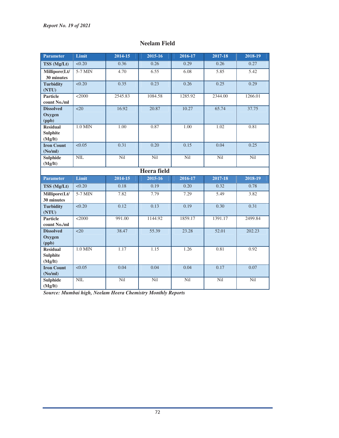## **Neelam Field**

| <b>Parameter</b>                              | Limit                          | 2014-15 | 2015-16            | 2016-17 | 2017-18           | 2018-19 |
|-----------------------------------------------|--------------------------------|---------|--------------------|---------|-------------------|---------|
| TSS (Mg/Lt)                                   | < 0.20                         | 0.36    | 0.26               | 0.29    | 0.26              | 0.27    |
| Millipore(Lt/<br>30 minutes                   | 5-7 MIN                        | 4.70    | 6.55               | 6.08    | $\overline{5.85}$ | 5.42    |
| <b>Turbidity</b><br>(NTU)                     | < 0.20                         | 0.35    | 0.23               | 0.26    | 0.25              | 0.29    |
| <b>Particle</b><br>count No./ml               | $<$ 2000                       | 2545.83 | 1084.58            | 1285.92 | 2344.00           | 1266.01 |
| <b>Dissolved</b><br>Oxygen<br>(ppb)           | $\overline{20}$                | 16.92   | 20.87              | 10.27   | 65.74             | 37.75   |
| <b>Residual</b><br><b>Sulphite</b><br>(Mg/lt) | $1.0$ MIN                      | 1.00    | 0.87               | 1.00    | 1.02              | 0.81    |
| <b>Iron Count</b><br>(No/ml)                  | < 0.05                         | 0.31    | 0.20               | 0.15    | 0.04              | 0.25    |
| <b>Sulphide</b><br>(Mg/lt)                    | $\text{NIL}$                   | Nil     | Nil                | Nil     | Nil               | Nil     |
|                                               |                                |         | <b>Heera</b> field |         |                   |         |
| <b>Parameter</b>                              | Limit                          | 2014-15 | 2015-16            | 2016-17 | 2017-18           | 2018-19 |
| TSS (Mg/Lt)                                   | $\sqrt{0.20}$                  | 0.18    | 0.19               | 0.20    | 0.32              | 0.78    |
| Millipore(Lt/<br>30 minutes                   | $5-7$ MIN                      | 7.82    | 7.79               | 7.29    | 5.49              | 3.82    |
| <b>Turbidity</b><br>(NTU)                     | < 0.20                         | 0.12    | 0.13               | 0.19    | 0.30              | 0.31    |
| <b>Particle</b><br>count No./ml               | $<$ 2000                       | 991.00  | 1144.92            | 1859.17 | 1391.17           | 2499.84 |
| <b>Dissolved</b><br>Oxygen<br>(ppb)           | $\overline{20}$                | 38.47   | 55.39              | 23.28   | 52.01             | 202.23  |
| <b>Residual</b><br><b>Sulphite</b><br>(Mg/lt) | $1.0$ MIN                      | 1.17    | 1.15               | 1.26    | 0.81              | 0.92    |
| <b>Iron Count</b><br>(No/ml)                  | < 0.05                         | 0.04    | 0.04               | 0.04    | 0.17              | 0.07    |
| <b>Sulphide</b><br>(Mg/lt)                    | NIL<br>$\cdot$ $\cdot$ $\cdot$ | Nil     | Nil                | Nil     | Nil               | Nil     |

*Source: Mumbai high, Neelam Heera Chemistry Monthly Reports*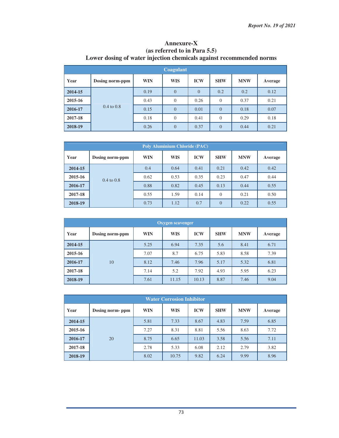### **Annexure-X (as referred to in Para 5.5) Lower dosing of water injection chemicals against recommended norms**

|         | <b>Coagulant</b>      |            |                |            |                |            |         |  |  |  |  |
|---------|-----------------------|------------|----------------|------------|----------------|------------|---------|--|--|--|--|
| Year    | Dosing norm-ppm       | <b>WIN</b> | <b>WIS</b>     | <b>ICW</b> | <b>SHW</b>     | <b>MNW</b> | Average |  |  |  |  |
| 2014-15 |                       | 0.19       | $\overline{0}$ | $\Omega$   | 0.2            | 0.2        | 0.12    |  |  |  |  |
| 2015-16 |                       | 0.43       | $\overline{0}$ | 0.26       | $\overline{0}$ | 0.37       | 0.21    |  |  |  |  |
| 2016-17 | $0.4 \text{ to } 0.8$ | 0.15       | $\theta$       | 0.01       | $\theta$       | 0.18       | 0.07    |  |  |  |  |
| 2017-18 |                       | 0.18       | $\overline{0}$ | 0.41       | $\theta$       | 0.29       | 0.18    |  |  |  |  |
| 2018-19 |                       | 0.26       | $\overline{0}$ | 0.37       | $\Omega$       | 0.44       | 0.21    |  |  |  |  |

|         | <b>Poly Aluminium Chloride (PAC)</b> |            |            |            |            |            |         |  |  |  |  |  |
|---------|--------------------------------------|------------|------------|------------|------------|------------|---------|--|--|--|--|--|
| Year    | Dosing norm-ppm                      | <b>WIN</b> | <b>WIS</b> | <b>ICW</b> | <b>SHW</b> | <b>MNW</b> | Average |  |  |  |  |  |
| 2014-15 |                                      | 0.4        | 0.64       | 0.41       | 0.21       | 0.42       | 0.42    |  |  |  |  |  |
| 2015-16 | $0.4 \text{ to } 0.8$                | 0.62       | 0.53       | 0.35       | 0.23       | 0.47       | 0.44    |  |  |  |  |  |
| 2016-17 |                                      | 0.88       | 0.82       | 0.45       | 0.13       | 0.44       | 0.55    |  |  |  |  |  |
| 2017-18 |                                      | 0.55       | 1.59       | 0.14       | $\Omega$   | 0.21       | 0.50    |  |  |  |  |  |
| 2018-19 |                                      | 0.73       | 1.12       | 0.7        | $\Omega$   | 0.22       | 0.55    |  |  |  |  |  |

|         | Oxygen scavenger |            |            |            |            |            |         |  |  |  |  |  |
|---------|------------------|------------|------------|------------|------------|------------|---------|--|--|--|--|--|
| Year    | Dosing norm-ppm  | <b>WIN</b> | <b>WIS</b> | <b>ICW</b> | <b>SHW</b> | <b>MNW</b> | Average |  |  |  |  |  |
| 2014-15 |                  | 5.25       | 6.94       | 7.35       | 5.6        | 8.41       | 6.71    |  |  |  |  |  |
| 2015-16 |                  | 7.07       | 8.7        | 6.75       | 5.83       | 8.58       | 7.39    |  |  |  |  |  |
| 2016-17 | 10               | 8.12       | 7.46       | 7.96       | 5.17       | 5.32       | 6.81    |  |  |  |  |  |
| 2017-18 |                  | 7.14       | 5.2        | 7.92       | 4.93       | 5.95       | 6.23    |  |  |  |  |  |
| 2018-19 |                  | 7.61       | 11.15      | 10.13      | 8.87       | 7.46       | 9.04    |  |  |  |  |  |

|         | <b>Water Corrosion Inhibitor</b> |            |            |            |            |            |         |  |  |  |  |  |
|---------|----------------------------------|------------|------------|------------|------------|------------|---------|--|--|--|--|--|
| Year    | Dosing norm-ppm                  | <b>WIN</b> | <b>WIS</b> | <b>ICW</b> | <b>SHW</b> | <b>MNW</b> | Average |  |  |  |  |  |
| 2014-15 |                                  | 5.81       | 7.33       | 8.67       | 4.83       | 7.59       | 6.85    |  |  |  |  |  |
| 2015-16 |                                  | 7.27       | 8.31       | 8.81       | 5.56       | 8.63       | 7.72    |  |  |  |  |  |
| 2016-17 | 20                               | 8.75       | 6.65       | 11.03      | 3.58       | 5.56       | 7.11    |  |  |  |  |  |
| 2017-18 |                                  | 2.78       | 5.33       | 6.08       | 2.12       | 2.79       | 3.82    |  |  |  |  |  |
| 2018-19 |                                  | 8.02       | 10.75      | 9.82       | 6.24       | 9.99       | 8.96    |  |  |  |  |  |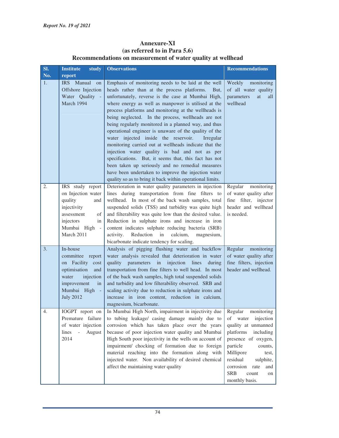| SI.<br>No.     | <b>Institute</b><br>study<br>report                                                                                                                        | <b>Observations</b>                                                                                                                                                                                                                                                                                                                                                                                                                                                                                                                                                                                                                                                                                                                                                                                                                                    | <b>Recommendations</b>                                                                                                                                                                                                                                       |
|----------------|------------------------------------------------------------------------------------------------------------------------------------------------------------|--------------------------------------------------------------------------------------------------------------------------------------------------------------------------------------------------------------------------------------------------------------------------------------------------------------------------------------------------------------------------------------------------------------------------------------------------------------------------------------------------------------------------------------------------------------------------------------------------------------------------------------------------------------------------------------------------------------------------------------------------------------------------------------------------------------------------------------------------------|--------------------------------------------------------------------------------------------------------------------------------------------------------------------------------------------------------------------------------------------------------------|
| 1.             | IRS Manual<br>on<br>Offshore Injection<br>Water Quality -<br>March 1994                                                                                    | Emphasis of monitoring needs to be laid at the well<br>heads rather than at the process platforms.<br>But,<br>unfortunately, reverse is the case at Mumbai High,<br>where energy as well as manpower is utilised at the<br>process platforms and monitoring at the wellheads is<br>being neglected. In the process, wellheads are not<br>being regularly monitored in a planned way, and thus<br>operational engineer is unaware of the quality of the<br>water injected inside the reservoir.<br>Irregular<br>monitoring carried out at wellheads indicate that the<br>injection water quality is bad and not as per<br>specifications. But, it seems that, this fact has not<br>been taken up seriously and no remedial measures<br>have been undertaken to improve the injection water<br>quality so as to bring it back within operational limits. | Weekly<br>monitoring<br>of all water quality<br>parameters<br>at<br>all<br>wellhead                                                                                                                                                                          |
| 2.             | IRS study report<br>on Injection water<br>quality<br>and<br>injectivity<br>assessment<br>of<br>injectors<br>in<br>Mumbai High<br>$\sim$<br>March 2011      | Deterioration in water quality parameters in injection<br>lines during transportation from fine filters to<br>wellhead. In most of the back wash samples, total<br>suspended solids (TSS) and turbidity was quite high<br>and filterability was quite low than the desired value.<br>Reduction in sulphate irons and increase in iron<br>content indicates sulphate reducing bacteria (SRB)<br>Reduction<br>calcium,<br>activity.<br>in<br>magnesium,<br>bicarbonate indicate tendency for scaling.                                                                                                                                                                                                                                                                                                                                                    | Regular<br>monitoring<br>of water quality after<br>fine filter, injector<br>header and wellhead<br>is needed.                                                                                                                                                |
| 3.             | In-house<br>committee report<br>on Facility<br>cost<br>optimisation<br>and<br>water<br>injection<br>improvement<br>in<br>Mumbai High -<br><b>July 2012</b> | Analysis of pigging flushing water and backflow<br>water analysis revealed that deterioration in water<br>$\operatorname{in}$<br>quality parameters<br>injection<br>lines<br>during<br>transportation from fine filters to well head. In most<br>of the back wash samples, high total suspended solids<br>and turbidity and low filterability observed. SRB and<br>scaling activity due to reduction in sulphate irons and<br>increase in iron content, reduction in calcium,<br>magnesium, bicarbonate.                                                                                                                                                                                                                                                                                                                                               | monitoring<br>Regular<br>of water quality after<br>fine filters, injection<br>header and wellhead.                                                                                                                                                           |
| $\overline{4}$ | IOGPT report on<br>Premature failure<br>of water injection<br>August<br>$\Box$<br>lines<br>2014                                                            | In Mumbai High North, impairment in injectivity due   Regular<br>to tubing leakage/ casing damage mainly due to<br>corrosion which has taken place over the years<br>because of poor injection water quality and Mumbai<br>High South poor injectivity in the wells on account of<br>impairment/ chocking of formation due to foreign<br>material reaching into the formation along with<br>injected water. Non availability of desired chemical<br>affect the maintaining water quality                                                                                                                                                                                                                                                                                                                                                               | monitoring<br>injection<br>of water<br>quality at unmanned<br>platforms<br>including<br>presence of oxygen,<br>particle<br>counts,<br>Millipore<br>test,<br>residual<br>sulphite,<br>corrosion<br>rate<br>and<br><b>SRB</b><br>count<br>on<br>monthly basis. |

### **Annexure-XI (as referred to in Para 5.6) Recommendations on measurement of water quality at wellhead**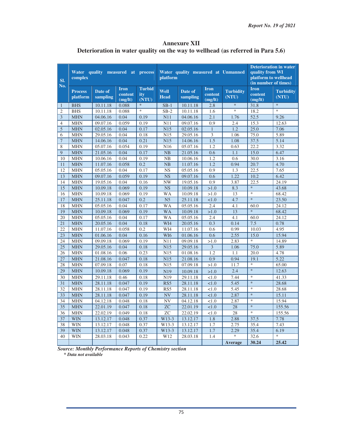#### **Annexure XII**

# **Deterioration in water quality on the way to wellhead (as referred in Para 5.6)**

| SI.              | <b>Water</b><br>complex    | quality             | measured<br>at                    | <b>process</b>                | platform               | Water quality measured at Unmanned |                                   |                           |                                   | <b>Deterioration in water</b><br>quality from WI<br>platform to wellhead<br>(in number of times) |  |
|------------------|----------------------------|---------------------|-----------------------------------|-------------------------------|------------------------|------------------------------------|-----------------------------------|---------------------------|-----------------------------------|--------------------------------------------------------------------------------------------------|--|
| No.              | <b>Process</b><br>platform | Date of<br>sampling | <b>Iron</b><br>content<br>(mg/lt) | <b>Turbid</b><br>ity<br>(NTU) | Well<br><b>Head</b>    | Date of<br>sampling                | <b>Iron</b><br>content<br>(mg/lt) | <b>Turbidity</b><br>(NTU) | <b>Iron</b><br>content<br>(mg/lt) | <b>Turbidity</b><br>(NTU)                                                                        |  |
| $\mathbf{1}$     | <b>BHS</b>                 | 10.11.18            | 0.088                             | $\ast$                        | $SB-1$                 | 10.11.18                           | 2.8                               | $\ast$                    | 31.8                              | $\ast$                                                                                           |  |
| $\mathfrak{2}$   | <b>BHS</b>                 | 10.11.18            | 0.088                             | $\ast$                        | $SB-2$                 | 10.11.18                           | 1.6                               | $\ast$                    | 18.2                              | $\ast$                                                                                           |  |
| 3                | <b>MHN</b>                 | 04.06.16            | 0.04                              | 0.19                          | N11                    | 04.06.16                           | 2.1                               | 1.76                      | 52.5                              | 9.26                                                                                             |  |
| $\overline{4}$   | <b>MHN</b>                 | 09.07.16            | 0.059                             | 0.19                          | N11                    | 09.07.16                           | 0.9                               | 2.4                       | 15.3                              | 12.63                                                                                            |  |
| $\overline{5}$   | <b>MHN</b>                 | 02.05.16            | 0.04                              | 0.17                          | N15                    | 02.05.16                           | $\mathbf{1}$                      | 1.2                       | 25.0                              | 7.06                                                                                             |  |
| 6                | <b>MHN</b>                 | 29.05.16            | 0.04                              | 0.18                          | N15                    | 29.05.16                           | 3                                 | 1.06                      | 75.0                              | 5.89                                                                                             |  |
| $\boldsymbol{7}$ | $\text{MHN}$               | 14.06.16            | 0.04                              | 0.21                          | N15                    | 14.06.16                           | 1.5                               | 1.08                      | 37.5                              | 5.14                                                                                             |  |
| 8                | <b>MHN</b>                 | 05.07.16            | 0.054                             | 0.19                          | N <sub>16</sub>        | 05.07.16                           | 1.2                               | 0.63                      | 22.2                              | 3.32                                                                                             |  |
| 9                | <b>MHN</b>                 | 21.05.16            | 0.04                              | 0.17                          | NB                     | 21.05.16                           | 0.6                               | 1.1                       | 15.0                              | 6.47                                                                                             |  |
| 10               | <b>MHN</b>                 | 10.06.16            | 0.04                              | 0.19                          | NB                     | 10.06.16                           | 1.2                               | 0.6                       | 30.0                              | 3.16                                                                                             |  |
| 11               | <b>MHN</b>                 | 11.07.16            | 0.058                             | $\overline{0.2}$              | $\overline{\text{NB}}$ | 11.07.16                           | 1.2                               | 0.94                      | 20.7                              | 4.70                                                                                             |  |
| 12               | <b>MHN</b>                 | 05.05.16            | 0.04                              | 0.17                          | <b>NS</b>              | 05.05.16                           | 0.9                               | 1.3                       | 22.5                              | 7.65                                                                                             |  |
| 13               | <b>MHN</b>                 | 09.07.16            | 0.059                             | 0.19                          | <b>NS</b>              | 09.07.16                           | 0.6                               | 1.22                      | 10.2                              | 6.42                                                                                             |  |
| 14               | <b>MHN</b>                 | 19.05.16            | 0.04                              | 0.16                          | NW                     | 19.05.16                           | 0.9                               | 3.87                      | 22.5                              | 24.19                                                                                            |  |
| 15               | <b>MHN</b>                 | 10.09.18            | 0.069                             | 0.19                          | <b>NS</b>              | 10.09.18                           | $>1.0$                            | 8.3                       | $\ast$                            | 43.68                                                                                            |  |
| 16               | <b>MHN</b>                 | 10.09.18            | 0.069                             | 0.19                          | <b>WA</b>              | 10.09.18                           | $>1.0$                            | 13                        | *                                 | 68.42                                                                                            |  |
| 17               | <b>MHN</b>                 | 25.11.18            | 0.047                             | $\overline{0.2}$              | N <sub>5</sub>         | 25.11.18                           | 1.0                               | 4.7                       | $\ast$                            | 23.50                                                                                            |  |
| 18               | <b>MHN</b>                 | 05.05.16            | 0.04                              | 0.17                          | <b>WA</b>              | 05.05.16                           | 2.4                               | 4.1                       | 60.0                              | 24.12                                                                                            |  |
| 19               | <b>MHN</b>                 | 10.09.18            | 0.069                             | 0.19                          | <b>WA</b>              | 10.09.18                           | $>1.0$                            | 13                        | $\ast$                            | 68.42                                                                                            |  |
| 20               | <b>MHN</b>                 | 05.05.16            | 0.04                              | 0.17                          | <b>WA</b>              | 05.05.16                           | 2.4                               | 4.1                       | $60.0\,$                          | 24.12                                                                                            |  |
| 21               | <b>MHN</b>                 | 20.05.16            | 0.04                              | 0.18                          | WI4                    | 20.05.16                           | 0.3                               | 0.14                      | $\overline{7.5}$                  | 0.78                                                                                             |  |
| 22               | <b>MHN</b>                 | 11.07.16            | 0.058                             | 0.2                           | WI4                    | 11.07.16                           | 0.6                               | 0.99                      | 10.03                             | 4.95                                                                                             |  |
| 23               | <b>MHN</b>                 | 01.06.16            | 0.04                              | 0.16                          | WI6                    | 01.06.16                           | 0.6                               | 2.55                      | 15.0                              | 15.94                                                                                            |  |
| 24               | <b>MHN</b>                 | 09.09.18            | 0.069                             | 0.19                          | N11                    | 09.09.18                           | >1.0                              | 2.83                      | $\ast$                            | 14.89                                                                                            |  |
| 25               | $\text{MHN}$               | 29.05.16            | 0.04                              | 0.18                          | N15                    | 29.05.16                           | 3                                 | 1.06                      | 75.0                              | 5.89                                                                                             |  |
| 26               | <b>MHN</b>                 | 01.08.16            | 0.06                              | 0.23                          | N15                    | 01.08.16                           | 1.2                               | 1.1                       | 20.0                              | 4.78                                                                                             |  |
| 27               | <b>MHN</b>                 | 21.08.16            | 0.047                             | 0.18                          | N15                    | 21.08.16                           | $\overline{0.9}$                  | 0.94                      | 19.1                              | 5.22                                                                                             |  |
| 28               | <b>MHN</b>                 | 07.09.18            | 0.07                              | 0.18                          | N15                    | 07.09.18                           | >1.0                              | 11.7                      | $\ast$                            | 65.00                                                                                            |  |
| 29               | <b>MHN</b>                 | 10.09.18            | 0.069                             | 0.19                          | N <sub>19</sub>        | 10.09.18                           | $>1.0$                            | 2.4                       | $\overline{\ast}$                 | 12.63                                                                                            |  |
| 30               | <b>MHN</b>                 | 29.11.18            | 0.46                              | 0.18                          | N19                    | 29.11.18                           | < 1.0                             | 7.44                      | *                                 | 41.33                                                                                            |  |
| 31               | <b>MHN</b>                 | 28.11.18            | 0.047                             | 0.19                          | RS5                    | 28.11.18                           | 1.0                               | 5.45                      | $\ast$                            | 28.68                                                                                            |  |
| 32               | <b>MHN</b>                 | 28.11.18            | 0.047                             | 0.19                          | RS5                    | 28.11.18                           | < 1.0                             | 5.45                      | $\ast$                            | 28.68                                                                                            |  |
| 33               | <b>MHN</b>                 | 28.11.18            | 0.047                             | 0.19                          | <b>NV</b>              | 28.11.18                           | 1.0                               | 2.87                      | $\ast$                            | 15.11                                                                                            |  |
| 34               | <b>MHN</b>                 | 04.12.18            | 0.048                             | 0.18                          | <b>NV</b>              | 04.12.18                           | < 1.0                             | 2.87                      | $\ast$                            | 15.94                                                                                            |  |
| 35               | <b>MHN</b>                 | 22.01.19            | 0.047                             | 0.18                          | <b>ZC</b>              | 22.01.19                           | 1.0                               | 28                        | $\overline{\ast}$                 | 155.56                                                                                           |  |
| 36               | <b>MHN</b>                 | 22.02.19            | 0.049                             | 0.18                          | $\overline{z}$ C       | 22.02.19                           | < 1.0                             | 28                        | $\ast$                            | 155.56                                                                                           |  |
| 37               | <b>WIN</b>                 | 13.12.17            | 0.048                             | 0.37                          | $\overline{W13-3}$     | 13.12.17                           | $\overline{1.8}$                  | 2.88                      | 37.5                              | 7.78                                                                                             |  |
| 38               | <b>WIN</b>                 | 13.12.17            | 0.048                             | 0.37                          | W13-3                  | 13.12.17                           | 1.7                               | 2.75                      | 35.4                              | 7.43                                                                                             |  |
| 39               | <b>WIN</b>                 | 13.12.17            | 0.048                             | 0.37                          | W13-3                  | 13.12.17                           | 1.7                               | 2.29                      | 35.4                              | 6.19                                                                                             |  |
| 40               | <b>WIN</b>                 | 28.03.18            | 0.043                             | 0.22                          | W12                    | 28.03.18                           | 1.4                               | $\ast$                    | 32.6                              | $\ast$                                                                                           |  |
|                  |                            |                     |                                   |                               |                        |                                    |                                   | <b>Average</b>            | 30.24                             | 25.42                                                                                            |  |

*Source: Monthly Performance Reports of Chemistry section \* Data not available*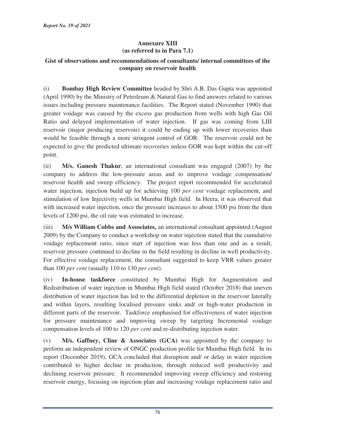## **Annexure XIII (as referred to in Para 7.1)**

# **Gist of observations and recommendations of consultants/ internal committees of the company on reservoir health**

(i) **Bombay High Review Committee** headed by Shri A.B. Das Gupta was appointed (April 1990) by the Ministry of Petroleum & Natural Gas to find answers related to various issues including pressure maintenance facilities. The Report stated (November 1990) that greater voidage was caused by the excess gas production from wells with high Gas Oil Ratio and delayed implementation of water injection. If gas was coming from LIII reservoir (major producing reservoir) it could be ending up with lower recoveries than would be feasible through a more stringent control of GOR. The reservoir could not be expected to give the predicted ultimate recoveries unless GOR was kept within the cut-off point.

(ii) **M/s. Ganesh Thakur**, an international consultant was engaged (2007) by the company to address the low-pressure areas and to improve voidage compensation/ reservoir health and sweep efficiency. The project report recommended for accelerated water injection, injection build up for achieving 100 *per cent* voidage replacement, and stimulation of low Injectivity wells in Mumbai High field. In Heera, it was observed that with increased water injection, once the pressure increases to about 1500 psi from the then levels of 1200 psi, the oil rate was estimated to increase.

(iii) **M/s William Cobbs and Associates,** an international consultant appointed (August 2009) by the Company to conduct a workshop on water injection stated that the cumulative voidage replacement ratio, since start of injection was less than one and as a result, reservoir pressure continued to decline in the field resulting in decline in well productivity. For effective voidage replacement, the consultant suggested to keep VRR values greater than 100 *per cent* (usually 110 to 130 *per cent*).

(iv) **In-house taskforce** constituted by Mumbai High for Augmentation and Redistribution of water injection in Mumbai High field stated (October 2018) that uneven distribution of water injection has led to the differential depletion in the reservoir laterally and within layers, resulting localised pressure sinks and/ or high-water production in different parts of the reservoir. Taskforce emphasised for effectiveness of water injection for pressure maintenance and improving sweep by targeting Incremental voidage compensation levels of 100 to 120 *per cent* and re-distributing injection water.

(v) **M/s. Gaffney, Cline & Associates (GCA)** was appointed by the company to perform an independent review of ONGC production profile for Mumbai High field. In its report (December 2019), GCA concluded that disruption and/ or delay in water injection contributed to higher decline in production, through reduced well productivity and declining reservoir pressure. It recommended improving sweep efficiency and restoring reservoir energy, focusing on injection plan and increasing voidage replacement ratio and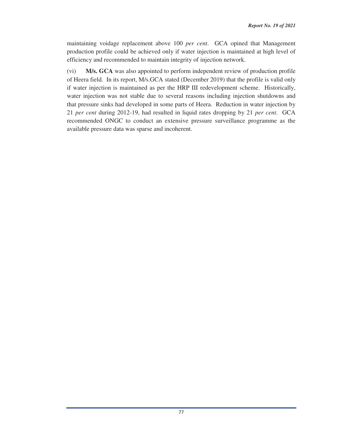maintaining voidage replacement above 100 *per cent*. GCA opined that Management production profile could be achieved only if water injection is maintained at high level of efficiency and recommended to maintain integrity of injection network.

(vi) **M/s. GCA** was also appointed to perform independent review of production profile of Heera field. In its report, M/s.GCA stated (December 2019) that the profile is valid only if water injection is maintained as per the HRP III redevelopment scheme. Historically, water injection was not stable due to several reasons including injection shutdowns and that pressure sinks had developed in some parts of Heera. Reduction in water injection by 21 *per cent* during 2012-19, had resulted in liquid rates dropping by 21 *per cent*. GCA recommended ONGC to conduct an extensive pressure surveillance programme as the available pressure data was sparse and incoherent.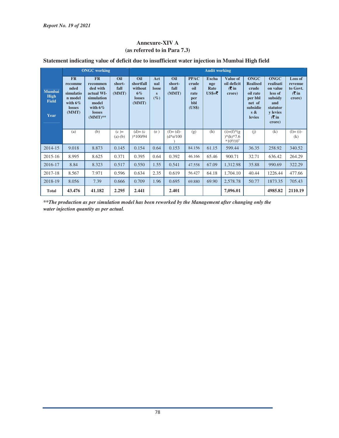#### **Annexure-XIV A (as referred to in Para 7.3)**

|                                                      |                                                                                       | <b>ONGC</b> working                                                                                          |                                |                                                         |                                               |                                |                                                             | <b>Audit working</b>                     |                                                                             |                                                                                                                 |                                                                                                                                     |                                                            |
|------------------------------------------------------|---------------------------------------------------------------------------------------|--------------------------------------------------------------------------------------------------------------|--------------------------------|---------------------------------------------------------|-----------------------------------------------|--------------------------------|-------------------------------------------------------------|------------------------------------------|-----------------------------------------------------------------------------|-----------------------------------------------------------------------------------------------------------------|-------------------------------------------------------------------------------------------------------------------------------------|------------------------------------------------------------|
| <b>Mumbai</b><br><b>High</b><br><b>Field</b><br>Year | <b>FR</b><br>recomme<br>nded<br>simulatio<br>n model<br>with $6\%$<br>losses<br>(MMT) | <b>FR</b><br>recommen<br>ded with<br>actual WI-<br>simulation<br>model<br>with $6\%$<br>losses<br>$(MMT)$ ** | Oil<br>short-<br>fall<br>(MMT) | Oil<br>shortfall<br>without<br>$6\%$<br>losses<br>(MMT) | Act<br>ual<br>losse<br>$\mathbf{s}$<br>$(\%)$ | Oil<br>short-<br>fall<br>(MMT) | <b>PPAC</b><br>crude<br>oil<br>rate<br>per<br>bbl<br>(US\$) | <b>Excha</b><br>nge<br>Rate<br>$US$ \$=₹ | Value of<br>oil deficit<br>$(\overline{\overline{\mathbf{x}}}$ in<br>crore) | <b>ONGC</b><br><b>Realised</b><br>crude<br>oil rate<br>per bbl<br>net of<br>subsidie<br>$s \&$<br><b>levies</b> | <b>ONGC</b><br>realisati<br>on value<br>less of<br>subsidy<br>and<br>statutor<br>y levies<br>$\sqrt{\overline{\zeta}}$ in<br>crore) | <b>Loss of</b><br>revenue<br>to Govt.<br>$($ ₹in<br>crore) |
|                                                      | (a)                                                                                   | (b)                                                                                                          | $(c) =$<br>$(a)-(b)$           | $(d)=(c)$<br>$)*100/94$                                 | (e)                                           | $(f)=(d)-$<br>$(d*e/100)$      | (g)                                                         | (h)                                      | $(i)=(f)^*(g)$<br>$(*)*(h)*7.6$<br>$*10^{6}/10^{7}$                         | (i)                                                                                                             | (k)                                                                                                                                 | $(l)=(i)-$<br>(k)                                          |
| 2014-15                                              | 9.018                                                                                 | 8.873                                                                                                        | 0.145                          | 0.154                                                   | 0.64                                          | 0.153                          | 84.156                                                      | 61.15                                    | 599.44                                                                      | 36.35                                                                                                           | 258.92                                                                                                                              | 340.52                                                     |
| 2015-16                                              | 8.995                                                                                 | 8.625                                                                                                        | 0.371                          | 0.395                                                   | 0.64                                          | 0.392                          | 46.166                                                      | 65.46                                    | 900.71                                                                      | 32.71                                                                                                           | 636.42                                                                                                                              | 264.29                                                     |
| 2016-17                                              | 8.84                                                                                  | 8.323                                                                                                        | 0.517                          | 0.550                                                   | 1.55                                          | 0.541                          | 47.558                                                      | 67.09                                    | 1,312.98                                                                    | 35.88                                                                                                           | 990.69                                                                                                                              | 322.29                                                     |
| 2017-18                                              | 8.567                                                                                 | 7.971                                                                                                        | 0.596                          | 0.634                                                   | 2.35                                          | 0.619                          | 56.427                                                      | 64.18                                    | 1,704.10                                                                    | 40.44                                                                                                           | 1226.44                                                                                                                             | 477.66                                                     |
| 2018-19                                              | 8.056                                                                                 | 7.39                                                                                                         | 0.666                          | 0.709                                                   | 1.96                                          | 0.695                          | 69.880                                                      | 69.90                                    | 2,578.78                                                                    | 50.77                                                                                                           | 1873.35                                                                                                                             | 705.43                                                     |
| <b>Total</b>                                         | 43.476                                                                                | 41.182                                                                                                       | 2.295                          | 2.441                                                   |                                               | 2.401                          |                                                             |                                          | 7,096.01                                                                    |                                                                                                                 | 4985.82                                                                                                                             | 2110.19                                                    |

#### **Statement indicating value of deficit due to insufficient water injection in Mumbai High field**

*\*\*The production as per simulation model has been reworked by the Management after changing only the water injection quantity as per actual.*